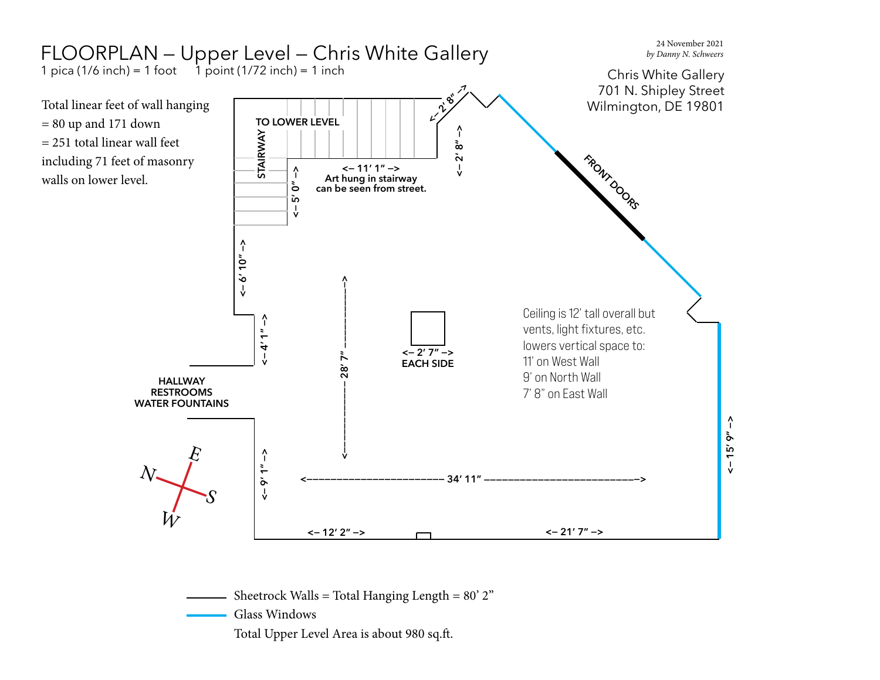